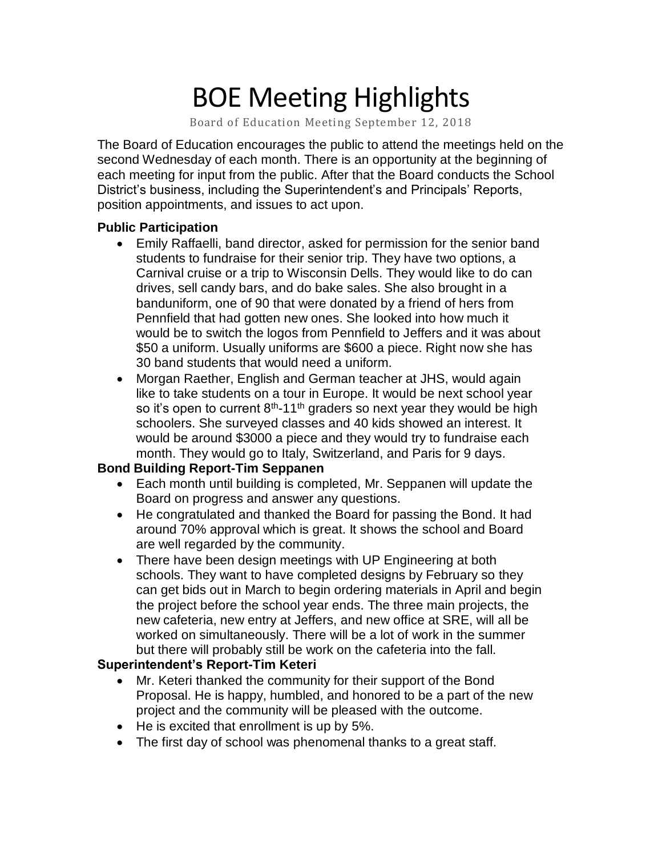# BOE Meeting Highlights

Board of Education Meeting September 12, 2018

 The Board of Education encourages the public to attend the meetings held on the second Wednesday of each month. There is an opportunity at the beginning of each meeting for input from the public. After that the Board conducts the School District's business, including the Superintendent's and Principals' Reports, position appointments, and issues to act upon.

#### **Public Participation**

- • Emily Raffaelli, band director, asked for permission for the senior band students to fundraise for their senior trip. They have two options, a Carnival cruise or a trip to Wisconsin Dells. They would like to do can drives, sell candy bars, and do bake sales. She also brought in a banduniform, one of 90 that were donated by a friend of hers from Pennfield that had gotten new ones. She looked into how much it would be to switch the logos from Pennfield to Jeffers and it was about \$50 a uniform. Usually uniforms are \$600 a piece. Right now she has 30 band students that would need a uniform.
- • Morgan Raether, English and German teacher at JHS, would again like to take students on a tour in Europe. It would be next school year so it's open to current 8<sup>th</sup>-11<sup>th</sup> graders so next year they would be high schoolers. She surveyed classes and 40 kids showed an interest. It would be around \$3000 a piece and they would try to fundraise each month. They would go to Italy, Switzerland, and Paris for 9 days.

# **Bond Building Report-Tim Seppanen**

- • Each month until building is completed, Mr. Seppanen will update the Board on progress and answer any questions.
- • He congratulated and thanked the Board for passing the Bond. It had around 70% approval which is great. It shows the school and Board are well regarded by the community.
- • There have been design meetings with UP Engineering at both schools. They want to have completed designs by February so they can get bids out in March to begin ordering materials in April and begin the project before the school year ends. The three main projects, the new cafeteria, new entry at Jeffers, and new office at SRE, will all be worked on simultaneously. There will be a lot of work in the summer but there will probably still be work on the cafeteria into the fall.

## **Superintendent's Report-Tim Keteri**

- Mr. Keteri thanked the community for their support of the Bond Proposal. He is happy, humbled, and honored to be a part of the new project and the community will be pleased with the outcome.
- He is excited that enrollment is up by 5%.
- The first day of school was phenomenal thanks to a great staff.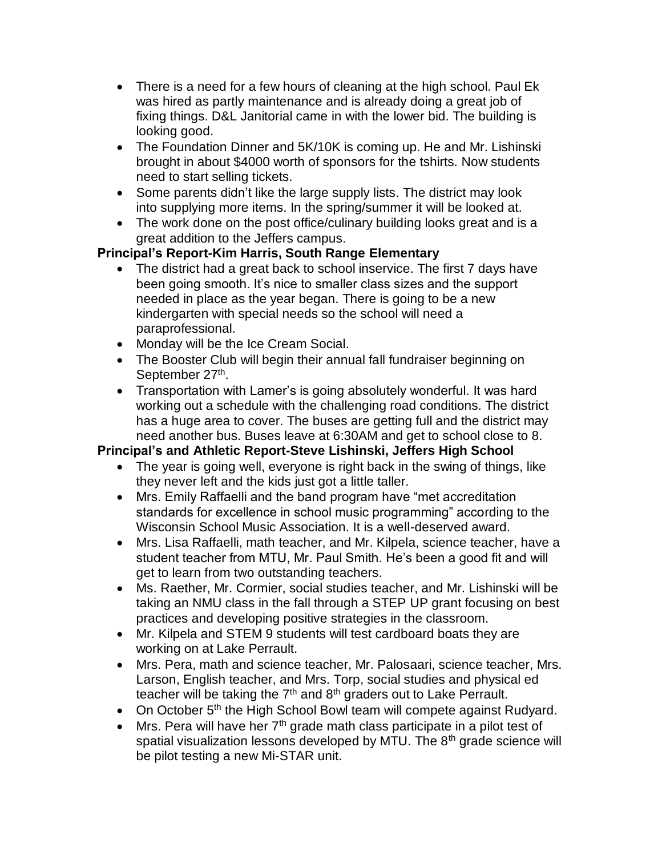- There is a need for a few hours of cleaning at the high school. Paul Ek was hired as partly maintenance and is already doing a great job of fixing things. D&L Janitorial came in with the lower bid. The building is looking good.
- The Foundation Dinner and 5K/10K is coming up. He and Mr. Lishinski brought in about \$4000 worth of sponsors for the tshirts. Now students need to start selling tickets.
- Some parents didn't like the large supply lists. The district may look into supplying more items. In the spring/summer it will be looked at.
- The work done on the post office/culinary building looks great and is a great addition to the Jeffers campus.

# **Principal's Report-Kim Harris, South Range Elementary**

- • The district had a great back to school inservice. The first 7 days have been going smooth. It's nice to smaller class sizes and the support needed in place as the year began. There is going to be a new kindergarten with special needs so the school will need a paraprofessional.
- Monday will be the Ice Cream Social.
- • The Booster Club will begin their annual fall fundraiser beginning on September 27th.
- • Transportation with Lamer's is going absolutely wonderful. It was hard working out a schedule with the challenging road conditions. The district has a huge area to cover. The buses are getting full and the district may need another bus. Buses leave at 6:30AM and get to school close to 8.

# **Principal's and Athletic Report-Steve Lishinski, Jeffers High School**

- • The year is going well, everyone is right back in the swing of things, like they never left and the kids just got a little taller.
- • Mrs. Emily Raffaelli and the band program have "met accreditation standards for excellence in school music programming" according to the Wisconsin School Music Association. It is a well-deserved award.
- • Mrs. Lisa Raffaelli, math teacher, and Mr. Kilpela, science teacher, have a student teacher from MTU, Mr. Paul Smith. He's been a good fit and will get to learn from two outstanding teachers.
- • Ms. Raether, Mr. Cormier, social studies teacher, and Mr. Lishinski will be taking an NMU class in the fall through a STEP UP grant focusing on best practices and developing positive strategies in the classroom.
- • Mr. Kilpela and STEM 9 students will test cardboard boats they are working on at Lake Perrault.
- • Mrs. Pera, math and science teacher, Mr. Palosaari, science teacher, Mrs. Larson, English teacher, and Mrs. Torp, social studies and physical ed teacher will be taking the  $7<sup>th</sup>$  and  $8<sup>th</sup>$  graders out to Lake Perrault.
- On October 5<sup>th</sup> the High School Bowl team will compete against Rudyard.
- Mrs. Pera will have her  $7<sup>th</sup>$  grade math class participate in a pilot test of spatial visualization lessons developed by MTU. The 8<sup>th</sup> grade science will be pilot testing a new Mi-STAR unit.